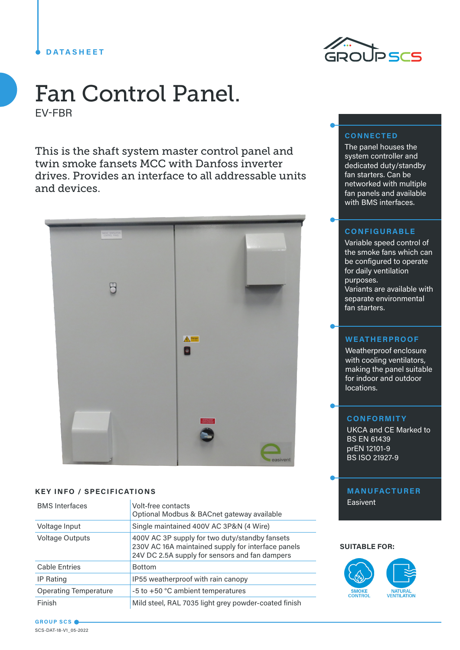## **DATASHEET**



# Fan Control Panel. EV-FBR

This is the shaft system master control panel and twin smoke fansets MCC with Danfoss inverter drives. Provides an interface to all addressable units and devices.



#### **KEY INFO / SPECIFICATIONS**

| <b>BMS</b> Interfaces        | Volt-free contacts<br>Optional Modbus & BACnet gateway available                                                                                       |
|------------------------------|--------------------------------------------------------------------------------------------------------------------------------------------------------|
| Voltage Input                | Single maintained 400V AC 3P&N (4 Wire)                                                                                                                |
| <b>Voltage Outputs</b>       | 400V AC 3P supply for two duty/standby fansets<br>230V AC 16A maintained supply for interface panels<br>24V DC 2.5A supply for sensors and fan dampers |
| <b>Cable Entries</b>         | <b>Bottom</b>                                                                                                                                          |
| IP Rating                    | IP55 weatherproof with rain canopy                                                                                                                     |
| <b>Operating Temperature</b> | -5 to +50 °C ambient temperatures                                                                                                                      |
| Finish                       | Mild steel, RAL 7035 light grey powder-coated finish                                                                                                   |

## **CONNECTED**

The panel houses the system controller and dedicated duty/standby fan starters. Can be networked with multiple fan panels and available with BMS interfaces.

#### **CONFIGURABLE**

Variable speed control of the smoke fans which can be configured to operate for daily ventilation purposes. Variants are available with separate environmental fan starters.

#### **WEATHERPROOF**

Weatherproof enclosure with cooling ventilators, making the panel suitable for indoor and outdoor locations.

## **CONFORMITY**

UKCA and CE Marked to BS EN 61439 prEN 12101-9 BS ISO 21927-9

## **MANUFACTURER** Easivent

#### **SUITABLE FOR:**



**GROUP SCS** SCS-DAT-18-V1\_05-2022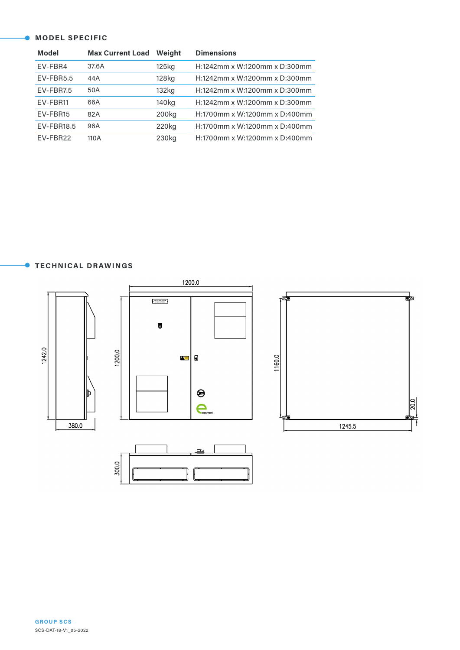#### **MODEL SPECIFIC**

| <b>Model</b>      | <b>Max Current Load</b> | Weight            | <b>Dimensions</b>             |
|-------------------|-------------------------|-------------------|-------------------------------|
| EV-FBR4           | 37.6A                   | 125kg             | H:1242mm x W:1200mm x D:300mm |
| EV-FBR5.5         | 44A                     | 128kg             | H:1242mm x W:1200mm x D:300mm |
| EV-FBR7.5         | 50A                     | 132kg             | H:1242mm x W:1200mm x D:300mm |
| EV-FBR11          | 66A                     | 140 <sub>kg</sub> | H:1242mm x W:1200mm x D:300mm |
| EV-FBR15          | 82A                     | 200 <sub>kg</sub> | H:1700mm x W:1200mm x D:400mm |
| <b>EV-FBR18.5</b> | 96A                     | 220 <sub>kg</sub> | H:1700mm x W:1200mm x D:400mm |
| EV-FBR22          | 110A                    | 230kg             | H:1700mm x W:1200mm x D:400mm |

#### **TECHNICAL DRAWINGS**